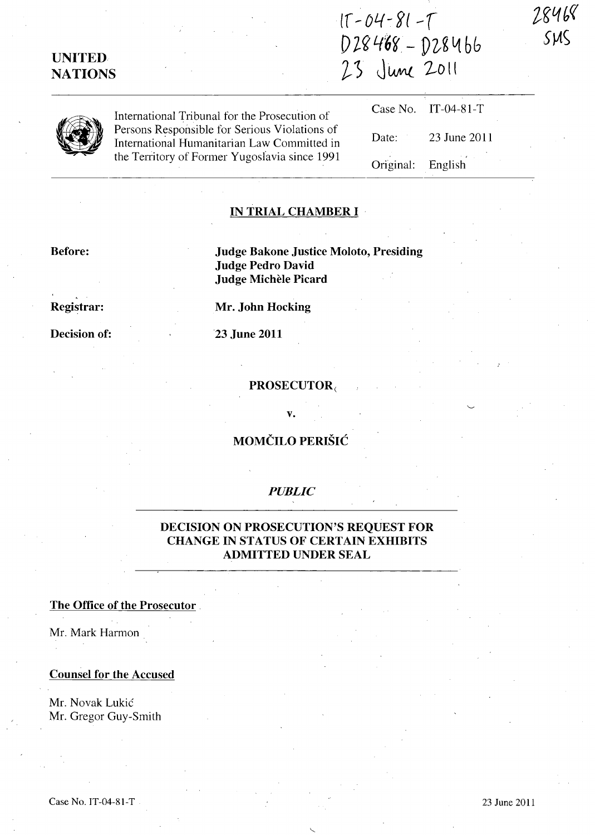| <b>UNITED</b><br><b>NATIONS</b> |                                                                                                                                                                                                | $15 - 04 - 81 - 7$<br>$D28468 - D28466$<br>23 June 2011 |              | 7.8968<br>SMS |
|---------------------------------|------------------------------------------------------------------------------------------------------------------------------------------------------------------------------------------------|---------------------------------------------------------|--------------|---------------|
|                                 | International Tribunal for the Prosecution of<br>Persons Responsible for Serious Violations of<br>International Humanitarian Law Committed in<br>the Territory of Former Yugoslavia since 1991 | Case No.                                                | $IT-04-81-T$ |               |
|                                 |                                                                                                                                                                                                | Date:                                                   | 23 June 2011 |               |
|                                 |                                                                                                                                                                                                | Original:                                               | English      |               |

#### **IN TRIAL CHAMBER I**

# **Before:**

**Judge Bakone Justice Moloto, Presiding Judge Pedro David Judge Michele Picard** 

**Registrar:** 

**Decision of:** 

# **Mr. John Hocking**

**23 June 2011** 

#### **PROSECUTOR(**

#### **v.**

# **MOMČILO PERIŠIĆ**

# *PUBLIC*

# **DECISION ON PROSECUTION'S REQUEST FOR CHANGE IN STATUS OF CERTAIN EXHIBITS ADMITTED UNDER SEAL**

# **The Office of the Prosecutor**

Mr. Mark Harmon

# **Counsel for the Accused**

Mr. Novak Lukic Mr. Gregor Guy-Smith  $2846$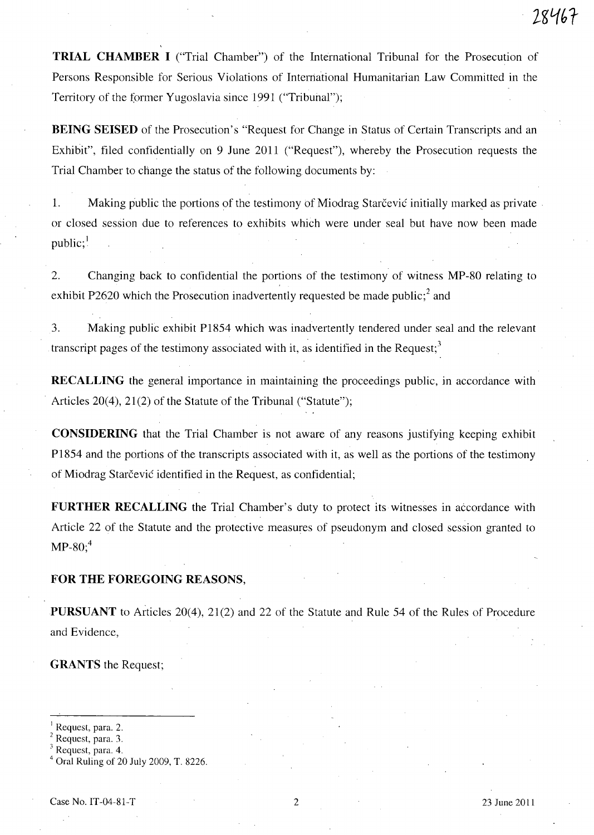**TRIAL CHAMBER I** ("Trial Chamber") of the International Tribunal for the Prosecution of Persons Responsible for Serious Violations of International Humanitarian Law Committed in the Territory of the former Yugoslavia since 1991 ("Tribunal");

**BEING SEISED** of the Prosecution's "Request for Change in Status of Certain Transcripts and an Exhibit", filed confidentially on 9 June 2011 ("Request"), whereby the Prosecution requests the Trial Chamber to change the status of the following documents by:

1. Making public the portions of the testimony of Miodrag Starcevic initially marked as private. or closed session due to references to exhibits which were under seal but have now been made  $public;$ <sup>1</sup>

2. Changing back to confidential the portions of the testimony of witness MP-80 relating to exhibit P2620 which the Prosecution inadvertently requested be made public;<sup>2</sup> and

3. Making public exhibit P1854 which was inadvertently tendered under seal and the relevant transcript pages of the testimony associated with it, as identified in the Request; $3$ 

**RECALLING** the general importance in maintaining the proceedings public, in accordance with Articles 20(4), 21(2) of the Statute of the Tribunal ("Statute");

**CONSIDERING** that the Trial Chamber is not aware of any reasons justifying keeping exhibit P1854 and the portions of the transcripts associated with it, as well as the portions of the testimony of Miodrag Starčević identified in the Request, as confidential;

**FURTHER RECALLING** the Trial Chamber's duty to protect its witnesses in accordance with Article 22 of the Statute and the protective measures of pseudonym and closed session granted to  $MP-80$ ;<sup>4</sup>

#### **FOR THE FOREGOING REASONS,**

**PURSUANT** to Articles 20(4), 21(2) and 22 of the Statute and Rule 54 of the Rules of Procedure and Evidence,

**GRANTS** the Request;

Request, para. 2.<br>Request, para. 3.

Request, para. 4.

Oral Ruling of 20 July 2009, T. 8226.